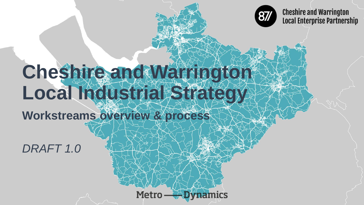

**Cheshire and Warrington Local Enterprise Partnership** 

# Cheshire and Waterioton Local Industrial Strategy

Metro —

**ADVnamics** 

**Workstreams overview & process**

*DRAFT 1.0*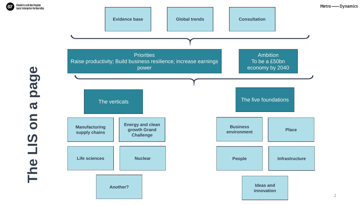

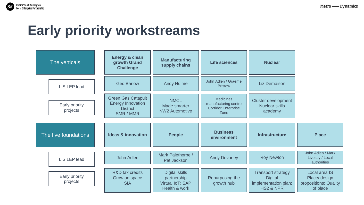## **Early priority workstreams**

| The verticals        |                            | <b>Energy &amp; clean</b><br>growth Grand<br><b>Challenge</b>                         | <b>Manufacturing</b><br>supply chains                                     | <b>Life sciences</b>                                                           | <b>Nuclear</b>                                                                              |                                                                     |
|----------------------|----------------------------|---------------------------------------------------------------------------------------|---------------------------------------------------------------------------|--------------------------------------------------------------------------------|---------------------------------------------------------------------------------------------|---------------------------------------------------------------------|
|                      | LIS LEP lead               | <b>Ged Barlow</b>                                                                     | <b>Andy Hulme</b>                                                         | John Adlen / Graeme<br><b>Bristow</b>                                          | <b>Liz Demaison</b>                                                                         |                                                                     |
|                      | Early priority<br>projects | <b>Green Gas Catapult</b><br><b>Energy Innovation</b><br><b>District</b><br>SMR / MMR | <b>NMCL</b><br>Made smarter<br><b>NW2 Automotive</b>                      | <b>Medicines</b><br>manufacturing centre<br><b>Corridor Enterprise</b><br>Zone | <b>Cluster development</b><br>Nuclear skills<br>academy                                     |                                                                     |
| The five foundations |                            | <b>Ideas &amp; innovation</b>                                                         | <b>People</b>                                                             | <b>Business</b><br>environment                                                 | <b>Infrastructure</b>                                                                       | <b>Place</b>                                                        |
|                      | <b>LIS LEP lead</b>        | John Adlen                                                                            | Mark Palethorpe /<br>Pat Jackson                                          | <b>Andy Devaney</b>                                                            | <b>Roy Newton</b>                                                                           | John Adlen / Mark<br>Livesey / Local<br>authorities                 |
|                      | Early priority<br>projects | R&D tax credits<br>Grow on space<br><b>SIA</b>                                        | <b>Digital skills</b><br>partnership<br>Virtual IoT; SAP<br>Health & work | Repurposing the<br>growth hub                                                  | <b>Transport strategy</b><br><b>Digital</b><br>implementation plan;<br><b>HS2 &amp; NPR</b> | Local area IS<br>Place/ design<br>propositions; Quality<br>of place |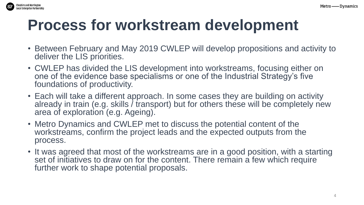

## **Process for workstream development**

- Between February and May 2019 CWLEP will develop propositions and activity to deliver the LIS priorities.
- CWLEP has divided the LIS development into workstreams, focusing either on one of the evidence base specialisms or one of the Industrial Strategy's five foundations of productivity.
- Each will take a different approach. In some cases they are building on activity already in train (e.g. skills / transport) but for others these will be completely new area of exploration (e.g. Ageing).
- Metro Dynamics and CWLEP met to discuss the potential content of the workstreams, confirm the project leads and the expected outputs from the process.
- It was agreed that most of the workstreams are in a good position, with a starting set of initiatives to draw on for the content. There remain a few which require further work to shape potential proposals.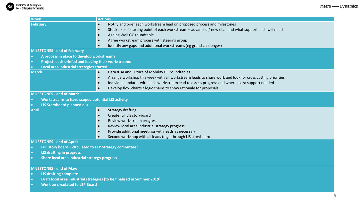| When                                                                    | <b>Actions</b>                                                                                                        |  |  |  |  |
|-------------------------------------------------------------------------|-----------------------------------------------------------------------------------------------------------------------|--|--|--|--|
| <b>February</b>                                                         | Notify and brief each workstream lead on proposed process and milestones<br>$\bullet$                                 |  |  |  |  |
|                                                                         | Stocktake of starting point of each workstream - advanced / new etc - and what support each will need<br>$\bullet$    |  |  |  |  |
|                                                                         | Ageing Well GC roundtable<br>$\bullet$                                                                                |  |  |  |  |
|                                                                         | Agree workstream process with steering group<br>$\bullet$                                                             |  |  |  |  |
|                                                                         | Identify any gaps and additional workstreams (eg grand challenges)<br>$\bullet$                                       |  |  |  |  |
| <b>MILESTONES - end of February</b>                                     |                                                                                                                       |  |  |  |  |
| A process in place to develop workstreams                               |                                                                                                                       |  |  |  |  |
| Project leads briefed and leading their workstreams                     |                                                                                                                       |  |  |  |  |
| Local area industrial strategies started                                |                                                                                                                       |  |  |  |  |
| <b>March</b>                                                            | Data & AI and Future of Mobility GC roundtables<br>$\bullet$                                                          |  |  |  |  |
|                                                                         | Arrange workshop this week with all workstream leads to share work and look for cross cutting priorities<br>$\bullet$ |  |  |  |  |
|                                                                         | Individual updates with each workstream lead to assess progress and where extra support needed<br>$\bullet$           |  |  |  |  |
|                                                                         | Develop flow charts / logic chains to show rationale for proposals<br>$\bullet$                                       |  |  |  |  |
| <b>MILESTONES - end of March:</b>                                       |                                                                                                                       |  |  |  |  |
| <b>Workstreams to have scoped potential LIS activity</b>                |                                                                                                                       |  |  |  |  |
| <b>LIS Storyboard planned out</b>                                       |                                                                                                                       |  |  |  |  |
| <b>April</b>                                                            | <b>Strategy drafting</b><br>$\bullet$                                                                                 |  |  |  |  |
|                                                                         | Create full LIS storyboard<br>$\bullet$                                                                               |  |  |  |  |
|                                                                         | Review workstream progress<br>$\bullet$                                                                               |  |  |  |  |
|                                                                         | Review local area industrial strategy progress<br>$\bullet$                                                           |  |  |  |  |
|                                                                         | Provide additional meetings with leads as necessary<br>$\bullet$                                                      |  |  |  |  |
|                                                                         | Second workshop with all leads to go through LIS storyboard<br>$\bullet$                                              |  |  |  |  |
| <b>MILESTONES - end of April:</b>                                       |                                                                                                                       |  |  |  |  |
| Full story board - circulated to LEP Strategy committee?                |                                                                                                                       |  |  |  |  |
| <b>LIS drafting in progress</b>                                         |                                                                                                                       |  |  |  |  |
| Share local area industrial strategy progress                           |                                                                                                                       |  |  |  |  |
|                                                                         |                                                                                                                       |  |  |  |  |
| <b>MILESTONES - end of May:</b>                                         |                                                                                                                       |  |  |  |  |
| <b>LIS drafting complete</b>                                            |                                                                                                                       |  |  |  |  |
| Draft local area industrial strategies [to be finalised in Summer 2019] |                                                                                                                       |  |  |  |  |
| <b>Work be circulated to LEP Board</b>                                  |                                                                                                                       |  |  |  |  |
|                                                                         |                                                                                                                       |  |  |  |  |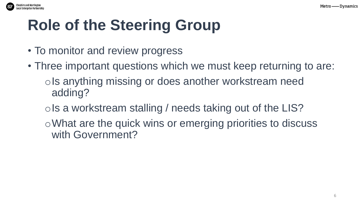

## **Role of the Steering Group**

- To monitor and review progress
- Three important questions which we must keep returning to are: ols anything missing or does another workstream need adding?
	- ols a workstream stalling / needs taking out of the LIS?
	- oWhat are the quick wins or emerging priorities to discuss with Government?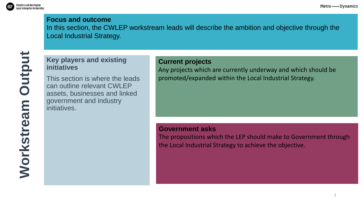

#### **Focus and outcome**

In this section, the CWLEP workstream leads will describe the ambition and objective through the Local Industrial Strategy.

### **Key players and existing initiatives**

This section is where the leads can outline relevant CWLEP assets, businesses and linked government and industry initiatives.

#### **Current projects**

Any projects which are currently underway and which should be promoted/expanded within the Local Industrial Strategy.

#### **Government asks**

The propositions which the LEP should make to Government through the Local Industrial Strategy to achieve the objective.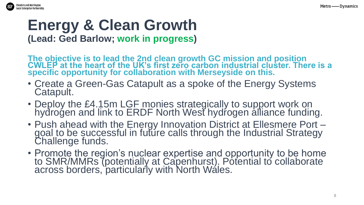

### **Energy & Clean Growth (Lead: Ged Barlow; work in progress)**

**The objective is to lead the 2nd clean growth GC mission and position CWLEP at the heart of the UK's first zero carbon industrial cluster. There is a specific opportunity for collaboration with Merseyside on this.**

- Create a Green-Gas Catapult as a spoke of the Energy Systems Catapult.
- Deploy the £4.15m LGF monies strategically to support work on hydrogen and link to ERDF North West hydrogen alliance funding.
- Push ahead with the Energy Innovation District at Ellesmere Port goal to be successful in future calls through the Industrial Strategy Challenge funds.
- Promote the region's nuclear expertise and opportunity to be home to SMR/MMRs (potentially at Capenhurst). Potential to collaborate across borders, particularly with North Wales.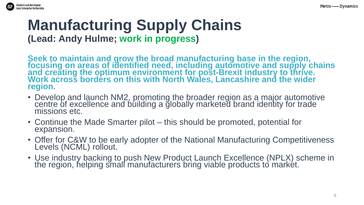

### **Manufacturing Supply Chains (Lead: Andy Hulme; work in progress)**

**Seek to maintain and grow the broad manufacturing base in the region, focusing on areas of identified need, including automotive and supply chains and creating the optimum environment for post-Brexit industry to thrive. Work across borders on this with North Wales, Lancashire and the wider region.**

- Develop and launch NM2, promoting the broader region as a major automotive centre of excellence and building a globally marketed brand identity for trade missions etc.
- Continue the Made Smarter pilot this should be promoted, potential for expansion.
- Offer for C&W to be early adopter of the National Manufacturing Competitiveness Levels (NCML) rollout.
- Use industry backing to push New Product Launch Excellence (NPLX) scheme in the region, helping small manufacturers bring viable products to market.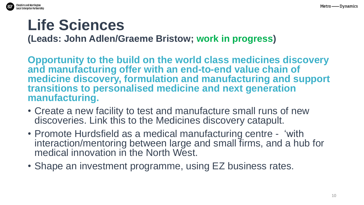

## **Life Sciences**

**(Leads: John Adlen/Graeme Bristow; work in progress)**

**Opportunity to the build on the world class medicines discovery and manufacturing offer with an end-to-end value chain of medicine discovery, formulation and manufacturing and support transitions to personalised medicine and next generation manufacturing.**

- Create a new facility to test and manufacture small runs of new discoveries. Link this to the Medicines discovery catapult.
- Promote Hurdsfield as a medical manufacturing centre 'with interaction/mentoring between large and small firms, and a hub for medical innovation in the North West.
- Shape an investment programme, using EZ business rates.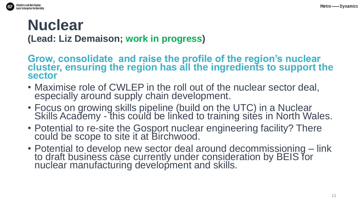

## **Nuclear**

**(Lead: Liz Demaison; work in progress)**

Grow, consolidate and raise the profile of the region's nuclear **cluster, ensuring the region has all the ingredients to support the sector** 

- Maximise role of CWLEP in the roll out of the nuclear sector deal, especially around supply chain development.
- Focus on growing skills pipeline (build on the UTC) in a Nuclear Skills Academy - this could be linked to training sites in North Wales.
- Potential to re-site the Gosport nuclear engineering facility? There could be scope to site it at Birchwood.
- Potential to develop new sector deal around decommissioning link to draft business case currently under consideration by BEIS for nuclear manufacturing development and skills.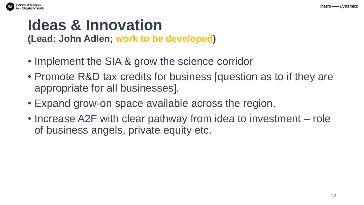

## **Ideas & Innovation**

**(Lead: John Adlen; work to be developed)**

- Implement the SIA & grow the science corridor
- Promote R&D tax credits for business [question as to if they are appropriate for all businesses].
- Expand grow-on space available across the region.
- Increase A2F with clear pathway from idea to investment role of business angels, private equity etc.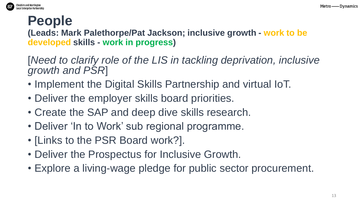

## **People**

**(Leads: Mark Palethorpe/Pat Jackson; inclusive growth - work to be developed skills - work in progress)**

[*Need to clarify role of the LIS in tackling deprivation, inclusive growth and PSR*]

- Implement the Digital Skills Partnership and virtual IoT.
- Deliver the employer skills board priorities.
- Create the SAP and deep dive skills research.
- Deliver 'In to Work' sub regional programme.
- [Links to the PSR Board work?].
- Deliver the Prospectus for Inclusive Growth.
- Explore a living-wage pledge for public sector procurement.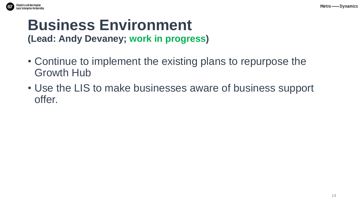

## **Business Environment**

**(Lead: Andy Devaney; work in progress)**

- Continue to implement the existing plans to repurpose the Growth Hub
- Use the LIS to make businesses aware of business support offer.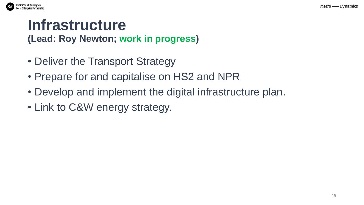

## **Infrastructure**

**(Lead: Roy Newton; work in progress)**

- Deliver the Transport Strategy
- Prepare for and capitalise on HS2 and NPR
- Develop and implement the digital infrastructure plan.
- Link to C&W energy strategy.